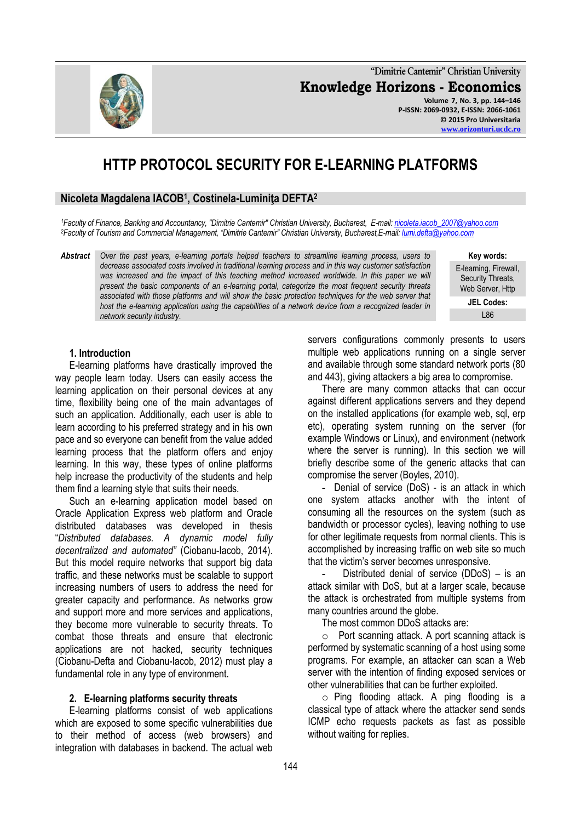**"Dimitrie Cantemir" Christian University Knowledge Horizons - Economics Volume 7, No. 3, pp. 144–146 P-ISSN: 2069-0932, E-ISSN: 2066-1061 © 2015 Pro Universitaria**

# **HTTP PROTOCOL SECURITY FOR E-LEARNING PLATFORMS**

# **Nicoleta Magdalena IACOB<sup>1</sup> , Costinela-Luminiţa DEFTA<sup>2</sup>**

*<sup>1</sup>Faculty of Finance, Banking and Accountancy, "Dimitrie Cantemir" Christian University, Bucharest, E-mail[: nicoleta.iacob\\_2007@yahoo.com](mailto:nicoleta.iacob_2007@yahoo.com) <sup>2</sup>Faculty of Tourism and Commercial Management, "Dimitrie Cantemir" Christian University, Bucharest,E-mail[: lumi.defta@yahoo.com](../../lumi.defta@yahoo.com)*

*Abstract Over the past years, e-learning portals helped teachers to streamline learning process, users to decrease associated costs involved in traditional learning process and in this way customer satisfaction was increased and the impact of this teaching method increased worldwide. In this paper we will present the basic components of an e-learning portal, categorize the most frequent security threats associated with those platforms and will show the basic protection techniques for the web server that host the e-learning application using the capabilities of a network device from a recognized leader in network security industry.*

**Key words:** E-learning, Firewall, Security Threats, Web Server, Http

**[www.orizonturi.ucdc.ro](http://www.orizonturi.ucdc.ro/)**

**JEL Codes:** L86

#### **1. Introduction**

E-learning platforms have drastically improved the way people learn today. Users can easily access the learning application on their personal devices at any time, flexibility being one of the main advantages of such an application. Additionally, each user is able to learn according to his preferred strategy and in his own pace and so everyone can benefit from the value added learning process that the platform offers and enjoy learning. In this way, these types of online platforms help increase the productivity of the students and help them find a learning style that suits their needs.

Such an e-learning application model based on Oracle Application Express web platform and Oracle distributed databases was developed in thesis "*Distributed databases. A dynamic model fully decentralized and automated"* (Ciobanu-Iacob, 2014). But this model require networks that support big data traffic, and these networks must be scalable to support increasing numbers of users to address the need for greater capacity and performance. As networks grow and support more and more services and applications, they become more vulnerable to security threats. To combat those threats and ensure that electronic applications are not hacked, security techniques (Ciobanu-Defta and Ciobanu-Iacob, 2012) must play a fundamental role in any type of environment.

#### **2. E-learning platforms security threats**

E-learning platforms consist of web applications which are exposed to some specific vulnerabilities due to their method of access (web browsers) and integration with databases in backend. The actual web servers configurations commonly presents to users multiple web applications running on a single server and available through some standard network ports (80 and 443), giving attackers a big area to compromise.

There are many common attacks that can occur against different applications servers and they depend on the installed applications (for example web, sql, erp etc), operating system running on the server (for example Windows or Linux), and environment (network where the server is running). In this section we will briefly describe some of the generic attacks that can compromise the server (Boyles, 2010).

- Denial of service (DoS) - is an attack in which one system attacks another with the intent of consuming all the resources on the system (such as bandwidth or processor cycles), leaving nothing to use for other legitimate requests from normal clients. This is accomplished by increasing traffic on web site so much that the victim's server becomes unresponsive.

Distributed denial of service  $(DDoS) -$  is an attack similar with DoS, but at a larger scale, because the attack is orchestrated from multiple systems from many countries around the globe.

The most common DDoS attacks are:

o Port scanning attack. A port scanning attack is performed by systematic scanning of a host using some programs. For example, an attacker can scan a Web server with the intention of finding exposed services or other vulnerabilities that can be further exploited.

o Ping flooding attack. A ping flooding is a classical type of attack where the attacker send sends ICMP echo requests packets as fast as possible without waiting for replies.

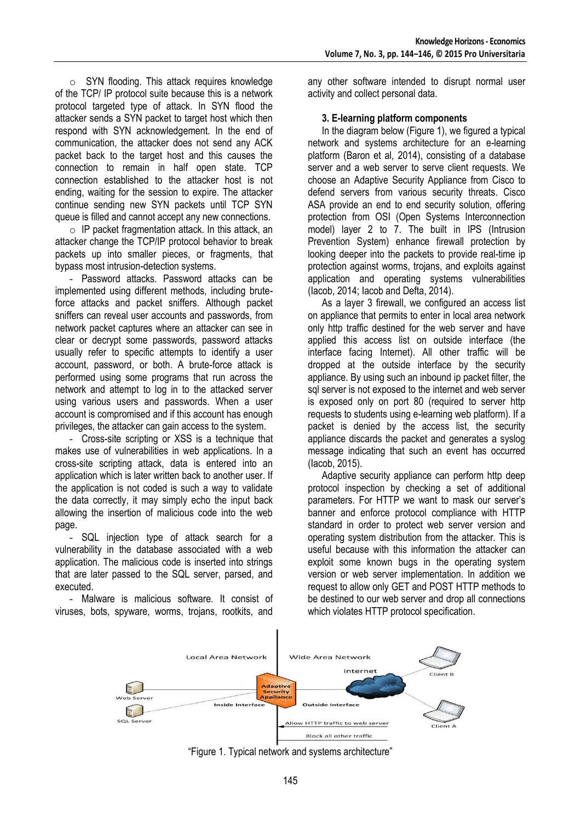o SYN flooding. This attack requires knowledge of the TCP/ IP protocol suite because this is a network protocol targeted type of attack. In SYN flood the attacker sends a SYN packet to target host which then respond with SYN acknowledgement. In the end of communication, the attacker does not send any ACK packet back to the target host and this causes the connection to remain in half open state. TCP connection established to the attacker host is not ending, waiting for the session to expire. The attacker continue sending new SYN packets until TCP SYN queue is filled and cannot accept any new connections.

o IP packet fragmentation attack. In this attack, an attacker change the TCP/IP protocol behavior to break packets up into smaller pieces, or fragments, that bypass most intrusion-detection systems.

- Password attacks. Password attacks can be implemented using different methods, including bruteforce attacks and packet sniffers. Although packet sniffers can reveal user accounts and passwords, from network packet captures where an attacker can see in clear or decrypt some passwords, password attacks usually refer to specific attempts to identify a user account, password, or both. A brute-force attack is performed using some programs that run across the network and attempt to log in to the attacked server using various users and passwords. When a user account is compromised and if this account has enough privileges, the attacker can gain access to the system.

- Cross-site scripting or XSS is a technique that makes use of vulnerabilities in web applications. In a cross-site scripting attack, data is entered into an application which is later written back to another user. If the application is not coded is such a way to validate the data correctly, it may simply echo the input back allowing the insertion of malicious code into the web page.

- SQL injection type of attack search for a vulnerability in the database associated with a web application. The malicious code is inserted into strings that are later passed to the SQL server, parsed, and executed.

- Malware is malicious software. It consist of viruses, bots, spyware, worms, trojans, rootkits, and

any other software intended to disrupt normal user activity and collect personal data.

### **3. E-learning platform components**

In the diagram below (Figure 1), we figured a typical network and systems architecture for an e-learning platform (Baron et al, 2014), consisting of a database server and a web server to serve client requests. We choose an Adaptive Security Appliance from Cisco to defend servers from various security threats. Cisco ASA provide an end to end security solution, offering protection from OSI (Open Systems Interconnection model) layer 2 to 7. The built in IPS (Intrusion Prevention System) enhance firewall protection by looking deeper into the packets to provide real-time ip protection against worms, trojans, and exploits against application and operating systems vulnerabilities (Iacob, 2014; Iacob and Defta, 2014).

As a layer 3 firewall, we configured an access list on appliance that permits to enter in local area network only http traffic destined for the web server and have applied this access list on outside interface (the interface facing Internet). All other traffic will be dropped at the outside interface by the security appliance. By using such an inbound ip packet filter, the sql server is not exposed to the internet and web server is exposed only on port 80 (required to server http requests to students using e-learning web platform). If a packet is denied by the access list, the security appliance discards the packet and generates a syslog message indicating that such an event has occurred (Iacob, 2015).

Adaptive security appliance can perform http deep protocol inspection by checking a set of additional parameters. For HTTP we want to mask our server's banner and enforce protocol compliance with HTTP standard in order to protect web server version and operating system distribution from the attacker. This is useful because with this information the attacker can exploit some known bugs in the operating system version or web server implementation. In addition we request to allow only GET and POST HTTP methods to be destined to our web server and drop all connections which violates HTTP protocol specification.



"Figure 1. Typical network and systems architecture"